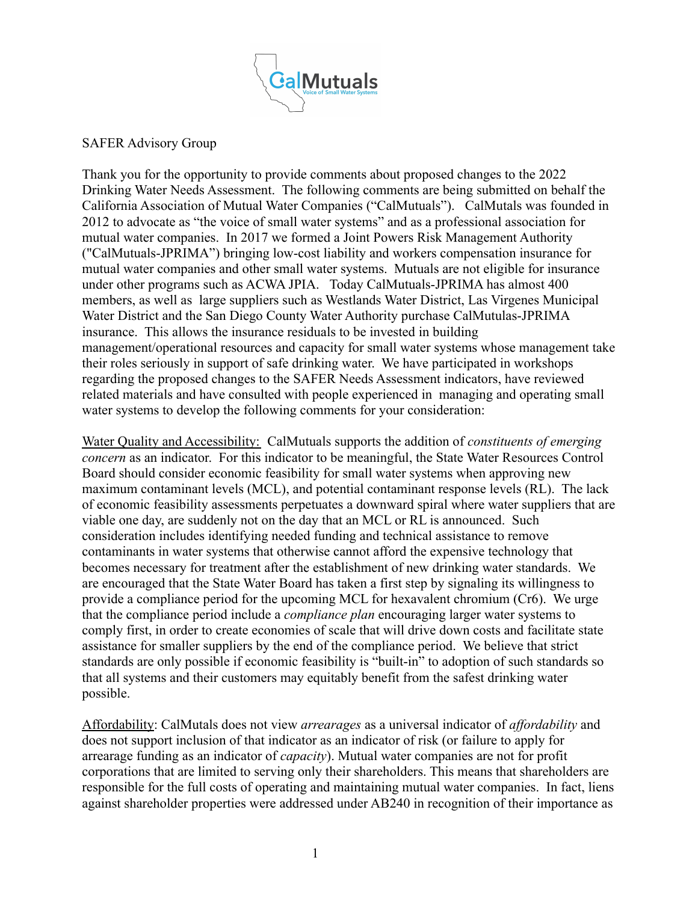

## SAFER Advisory Group

Thank you for the opportunity to provide comments about proposed changes to the 2022 Drinking Water Needs Assessment. The following comments are being submitted on behalf the California Association of Mutual Water Companies ("CalMutuals"). CalMutals was founded in 2012 to advocate as "the voice of small water systems" and as a professional association for mutual water companies. In 2017 we formed a Joint Powers Risk Management Authority ("CalMutuals-JPRIMA") bringing low-cost liability and workers compensation insurance for mutual water companies and other small water systems. Mutuals are not eligible for insurance under other programs such as ACWA JPIA. Today CalMutuals-JPRIMA has almost 400 members, as well as large suppliers such as Westlands Water District, Las Virgenes Municipal Water District and the San Diego County Water Authority purchase CalMutulas-JPRIMA insurance. This allows the insurance residuals to be invested in building management/operational resources and capacity for small water systems whose management take their roles seriously in support of safe drinking water. We have participated in workshops regarding the proposed changes to the SAFER Needs Assessment indicators, have reviewed related materials and have consulted with people experienced in managing and operating small water systems to develop the following comments for your consideration:

Water Quality and Accessibility: CalMutuals supports the addition of *constituents of emerging concern* as an indicator. For this indicator to be meaningful, the State Water Resources Control Board should consider economic feasibility for small water systems when approving new maximum contaminant levels (MCL), and potential contaminant response levels (RL). The lack of economic feasibility assessments perpetuates a downward spiral where water suppliers that are viable one day, are suddenly not on the day that an MCL or RL is announced. Such consideration includes identifying needed funding and technical assistance to remove contaminants in water systems that otherwise cannot afford the expensive technology that becomes necessary for treatment after the establishment of new drinking water standards. We are encouraged that the State Water Board has taken a first step by signaling its willingness to provide a compliance period for the upcoming MCL for hexavalent chromium (Cr6). We urge that the compliance period include a *compliance plan* encouraging larger water systems to comply first, in order to create economies of scale that will drive down costs and facilitate state assistance for smaller suppliers by the end of the compliance period. We believe that strict standards are only possible if economic feasibility is "built-in" to adoption of such standards so that all systems and their customers may equitably benefit from the safest drinking water possible.

Affordability: CalMutals does not view *arrearages* as a universal indicator of *affordability* and does not support inclusion of that indicator as an indicator of risk (or failure to apply for arrearage funding as an indicator of *capacity*). Mutual water companies are not for profit corporations that are limited to serving only their shareholders. This means that shareholders are responsible for the full costs of operating and maintaining mutual water companies. In fact, liens against shareholder properties were addressed under AB240 in recognition of their importance as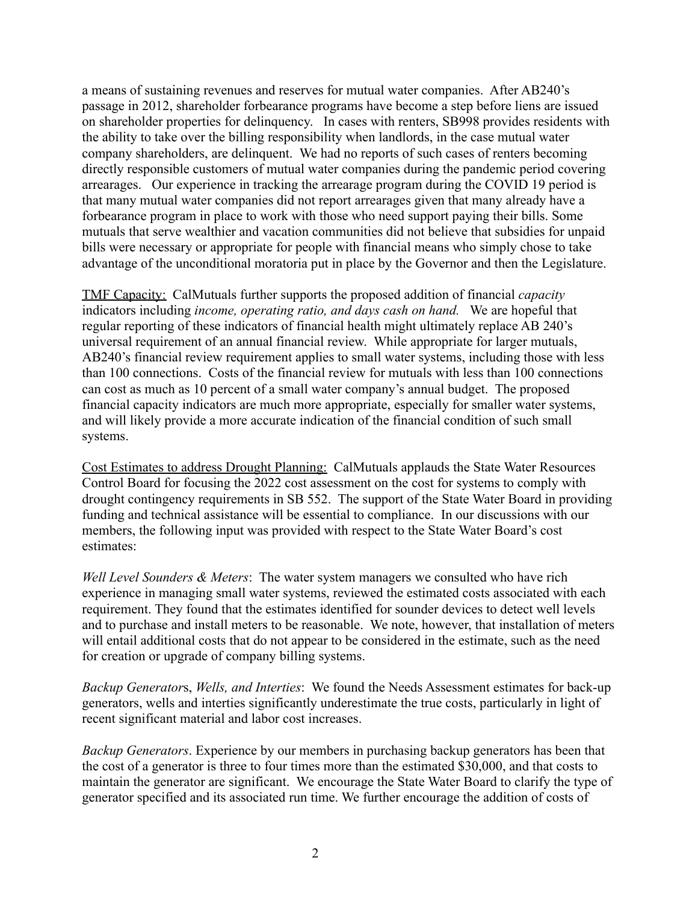a means of sustaining revenues and reserves for mutual water companies. After AB240's passage in 2012, shareholder forbearance programs have become a step before liens are issued on shareholder properties for delinquency. In cases with renters, SB998 provides residents with the ability to take over the billing responsibility when landlords, in the case mutual water company shareholders, are delinquent. We had no reports of such cases of renters becoming directly responsible customers of mutual water companies during the pandemic period covering arrearages. Our experience in tracking the arrearage program during the COVID 19 period is that many mutual water companies did not report arrearages given that many already have a forbearance program in place to work with those who need support paying their bills. Some mutuals that serve wealthier and vacation communities did not believe that subsidies for unpaid bills were necessary or appropriate for people with financial means who simply chose to take advantage of the unconditional moratoria put in place by the Governor and then the Legislature.

TMF Capacity: CalMutuals further supports the proposed addition of financial *capacity* indicators including *income, operating ratio, and days cash on hand.* We are hopeful that regular reporting of these indicators of financial health might ultimately replace AB 240's universal requirement of an annual financial review. While appropriate for larger mutuals, AB240's financial review requirement applies to small water systems, including those with less than 100 connections. Costs of the financial review for mutuals with less than 100 connections can cost as much as 10 percent of a small water company's annual budget. The proposed financial capacity indicators are much more appropriate, especially for smaller water systems, and will likely provide a more accurate indication of the financial condition of such small systems.

Cost Estimates to address Drought Planning: CalMutuals applauds the State Water Resources Control Board for focusing the 2022 cost assessment on the cost for systems to comply with drought contingency requirements in SB 552. The support of the State Water Board in providing funding and technical assistance will be essential to compliance. In our discussions with our members, the following input was provided with respect to the State Water Board's cost estimates:

*Well Level Sounders & Meters*: The water system managers we consulted who have rich experience in managing small water systems, reviewed the estimated costs associated with each requirement. They found that the estimates identified for sounder devices to detect well levels and to purchase and install meters to be reasonable. We note, however, that installation of meters will entail additional costs that do not appear to be considered in the estimate, such as the need for creation or upgrade of company billing systems.

*Backup Generator*s, *Wells, and Interties*: We found the Needs Assessment estimates for back-up generators, wells and interties significantly underestimate the true costs, particularly in light of recent significant material and labor cost increases.

*Backup Generators*. Experience by our members in purchasing backup generators has been that the cost of a generator is three to four times more than the estimated \$30,000, and that costs to maintain the generator are significant. We encourage the State Water Board to clarify the type of generator specified and its associated run time. We further encourage the addition of costs of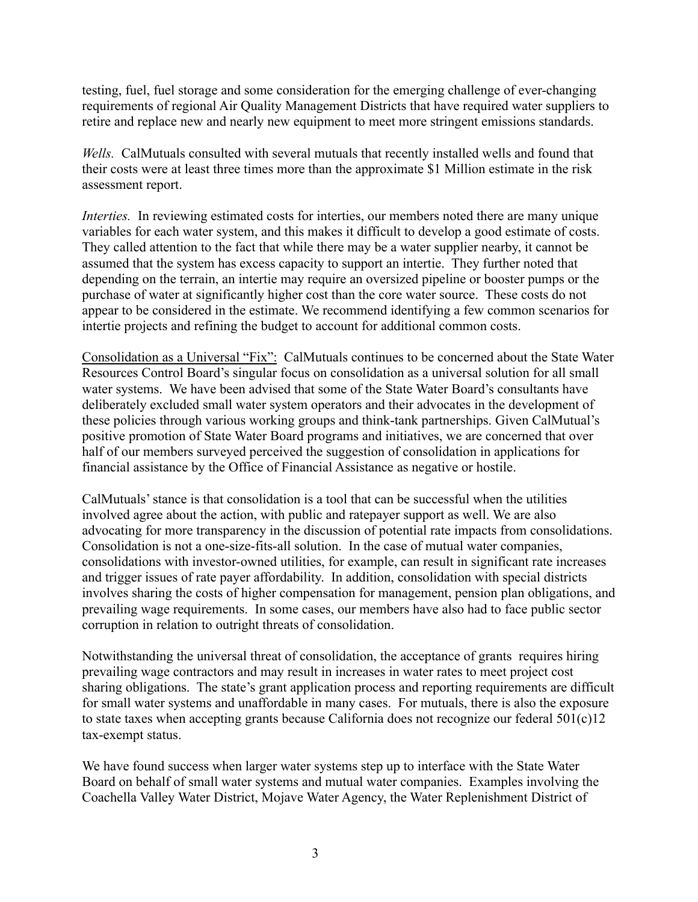testing, fuel, fuel storage and some consideration for the emerging challenge of ever-changing requirements of regional Air Quality Management Districts that have required water suppliers to retire and replace new and nearly new equipment to meet more stringent emissions standards.

*Wells.* CalMutuals consulted with several mutuals that recently installed wells and found that their costs were at least three times more than the approximate \$1 Million estimate in the risk assessment report.

*Interties.* In reviewing estimated costs for interties, our members noted there are many unique variables for each water system, and this makes it difficult to develop a good estimate of costs. They called attention to the fact that while there may be a water supplier nearby, it cannot be assumed that the system has excess capacity to support an intertie. They further noted that depending on the terrain, an intertie may require an oversized pipeline or booster pumps or the purchase of water at significantly higher cost than the core water source. These costs do not appear to be considered in the estimate. We recommend identifying a few common scenarios for intertie projects and refining the budget to account for additional common costs.

Consolidation as a Universal "Fix": CalMutuals continues to be concerned about the State Water Resources Control Board's singular focus on consolidation as a universal solution for all small water systems. We have been advised that some of the State Water Board's consultants have deliberately excluded small water system operators and their advocates in the development of these policies through various working groups and think-tank partnerships. Given CalMutual's positive promotion of State Water Board programs and initiatives, we are concerned that over half of our members surveyed perceived the suggestion of consolidation in applications for financial assistance by the Office of Financial Assistance as negative or hostile.

CalMutuals' stance is that consolidation is a tool that can be successful when the utilities involved agree about the action, with public and ratepayer support as well. We are also advocating for more transparency in the discussion of potential rate impacts from consolidations. Consolidation is not a one-size-fits-all solution. In the case of mutual water companies, consolidations with investor-owned utilities, for example, can result in significant rate increases and trigger issues of rate payer affordability. In addition, consolidation with special districts involves sharing the costs of higher compensation for management, pension plan obligations, and prevailing wage requirements. In some cases, our members have also had to face public sector corruption in relation to outright threats of consolidation.

Notwithstanding the universal threat of consolidation, the acceptance of grants requires hiring prevailing wage contractors and may result in increases in water rates to meet project cost sharing obligations. The state's grant application process and reporting requirements are difficult for small water systems and unaffordable in many cases. For mutuals, there is also the exposure to state taxes when accepting grants because California does not recognize our federal 501(c)12 tax-exempt status.

We have found success when larger water systems step up to interface with the State Water Board on behalf of small water systems and mutual water companies. Examples involving the Coachella Valley Water District, Mojave Water Agency, the Water Replenishment District of